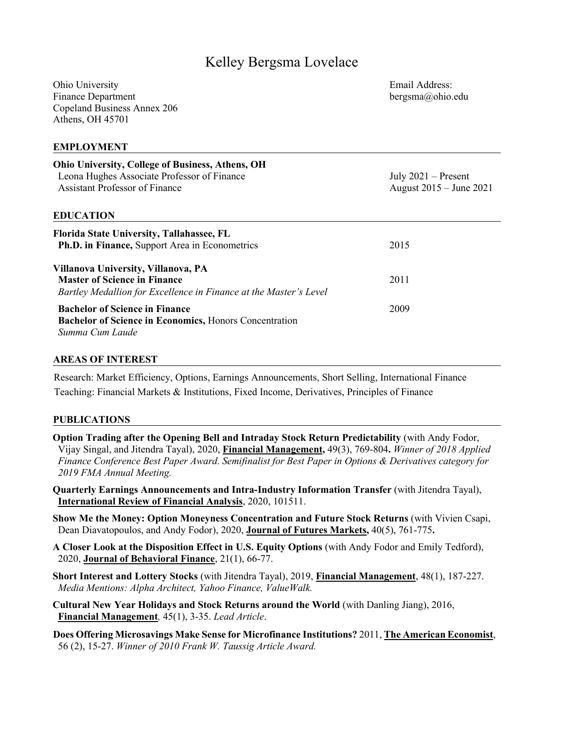# Kelley Bergsma Lovelace

Ohio University Finance Department Copeland Business Annex 206 Athens, OH 45701

Email Address: bergsma@ohio.edu

### **EMPLOYMENT**

| <b>Ohio University, College of Business, Athens, OH</b><br>Leona Hughes Associate Professor of Finance<br><b>Assistant Professor of Finance</b><br><b>EDUCATION</b> | July $2021$ – Present<br>August 2015 – June 2021 |
|---------------------------------------------------------------------------------------------------------------------------------------------------------------------|--------------------------------------------------|
|                                                                                                                                                                     |                                                  |
| <b>Florida State University, Tallahassee, FL</b>                                                                                                                    |                                                  |
| Ph.D. in Finance, Support Area in Econometrics                                                                                                                      | 2015                                             |
|                                                                                                                                                                     |                                                  |
| Villanova University, Villanova, PA                                                                                                                                 |                                                  |
| <b>Master of Science in Finance</b>                                                                                                                                 | 2011                                             |
| Bartley Medallion for Excellence in Finance at the Master's Level                                                                                                   |                                                  |
| <b>Bachelor of Science in Finance</b>                                                                                                                               | 2009                                             |
| <b>Bachelor of Science in Economics, Honors Concentration</b>                                                                                                       |                                                  |
| Summa Cum Laude                                                                                                                                                     |                                                  |
|                                                                                                                                                                     |                                                  |

#### **AREAS OF INTEREST**

Research: Market Efficiency, Options, Earnings Announcements, Short Selling, International Finance Teaching: Financial Markets & Institutions, Fixed Income, Derivatives, Principles of Finance

#### **PUBLICATIONS**

**Option Trading after the Opening Bell and Intraday Stock Return Predictability** (with Andy Fodor, Vijay Singal, and Jitendra Tayal), 2020, **Financial Management,** 49(3), 769-804**.** *Winner of 2018 Applied Finance Conference Best Paper Award. Semifinalist for Best Paper in Options & Derivatives category for 2019 FMA Annual Meeting.*

**Quarterly Earnings Announcements and Intra-Industry Information Transfer** (with Jitendra Tayal), **International Review of Financial Analysis**, 2020, 101511.

**Show Me the Money: Option Moneyness Concentration and Future Stock Returns** (with Vivien Csapi, Dean Diavatopoulos, and Andy Fodor), 2020, **Journal of Futures Markets,** 40(5), 761-775**.**

**A Closer Look at the Disposition Effect in U.S. Equity Options** (with Andy Fodor and Emily Tedford), 2020, **Journal of Behavioral Finance**, 21(1), 66-77.

**Short Interest and Lottery Stocks** (with Jitendra Tayal), 2019, **Financial Management**, 48(1), 187-227. *Media Mentions: Alpha Architect, Yahoo Finance, ValueWalk.*

**Cultural New Year Holidays and Stock Returns around the World** (with Danling Jiang), 2016, **Financial Management***,* 45(1), 3-35. *Lead Article*.

**Does Offering Microsavings Make Sense for Microfinance Institutions?** 2011, **The American Economist**, 56 (2), 15-27. *Winner of 2010 Frank W. Taussig Article Award.*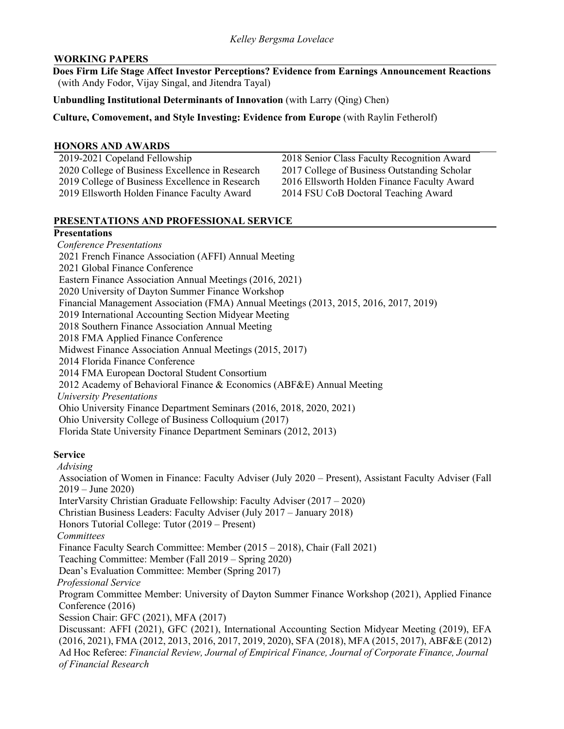# **WORKING PAPERS**

**Does Firm Life Stage Affect Investor Perceptions? Evidence from Earnings Announcement Reactions**  (with Andy Fodor, Vijay Singal, and Jitendra Tayal)

# **Unbundling Institutional Determinants of Innovation** (with Larry (Qing) Chen)

**Culture, Comovement, and Style Investing: Evidence from Europe** (with Raylin Fetherolf)

# **HONORS AND AWARDS**

| 2019-2021 Copeland Fellowship                   |
|-------------------------------------------------|
| 2020 College of Business Excellence in Research |
| 2019 College of Business Excellence in Research |
| 2019 Ellsworth Holden Finance Faculty Award     |

2018 Senior Class Faculty Recognition Award 2017 College of Business Outstanding Scholar 2016 Ellsworth Holden Finance Faculty Award 2014 FSU CoB Doctoral Teaching Award

# **PRESENTATIONS AND PROFESSIONAL SERVICE**

# **Presentations**

*Conference Presentations*  2021 French Finance Association (AFFI) Annual Meeting 2021 Global Finance Conference Eastern Finance Association Annual Meetings (2016, 2021) 2020 University of Dayton Summer Finance Workshop Financial Management Association (FMA) Annual Meetings (2013, 2015, 2016, 2017, 2019) 2019 International Accounting Section Midyear Meeting 2018 Southern Finance Association Annual Meeting 2018 FMA Applied Finance Conference Midwest Finance Association Annual Meetings (2015, 2017) 2014 Florida Finance Conference 2014 FMA European Doctoral Student Consortium 2012 Academy of Behavioral Finance & Economics (ABF&E) Annual Meeting *University Presentations* Ohio University Finance Department Seminars (2016, 2018, 2020, 2021) Ohio University College of Business Colloquium (2017) Florida State University Finance Department Seminars (2012, 2013)

# **Service**

*Advising*

Association of Women in Finance: Faculty Adviser (July 2020 – Present), Assistant Faculty Adviser (Fall 2019 – June 2020)

InterVarsity Christian Graduate Fellowship: Faculty Adviser (2017 – 2020)

Christian Business Leaders: Faculty Adviser (July 2017 – January 2018)

Honors Tutorial College: Tutor (2019 – Present)

*Committees*

Finance Faculty Search Committee: Member (2015 – 2018), Chair (Fall 2021)

Teaching Committee: Member (Fall 2019 – Spring 2020)

Dean's Evaluation Committee: Member (Spring 2017)

*Professional Service* 

Program Committee Member: University of Dayton Summer Finance Workshop (2021), Applied Finance Conference (2016)

Session Chair: GFC (2021), MFA (2017)

Discussant: AFFI (2021), GFC (2021), International Accounting Section Midyear Meeting (2019), EFA (2016, 2021), FMA (2012, 2013, 2016, 2017, 2019, 2020), SFA (2018), MFA (2015, 2017), ABF&E (2012) Ad Hoc Referee: *Financial Review, Journal of Empirical Finance, Journal of Corporate Finance, Journal of Financial Research*